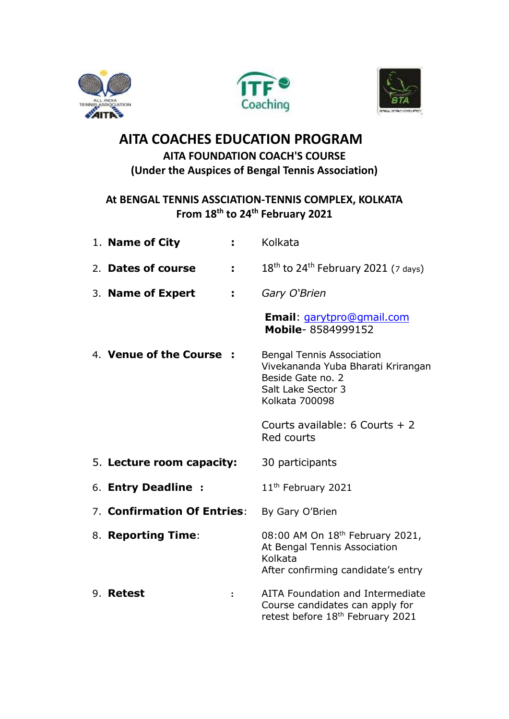





## **AITA COACHES EDUCATION PROGRAM AITA FOUNDATION COACH'S COURSE (Under the Auspices of Bengal Tennis Association)**

## **At BENGAL TENNIS ASSCIATION-TENNIS COMPLEX, KOLKATA From 18th to 24th February 2021**

| 1. Name of City<br>÷.       | Kolkata                                                                                                                                    |
|-----------------------------|--------------------------------------------------------------------------------------------------------------------------------------------|
| 2. Dates of course<br>÷.    | $18th$ to 24 <sup>th</sup> February 2021 (7 days)                                                                                          |
| 3. Name of Expert<br>÷.     | Gary O'Brien                                                                                                                               |
|                             | <b>Email: garytpro@gmail.com</b><br>Mobile-8584999152                                                                                      |
| 4. Venue of the Course      | <b>Bengal Tennis Association</b><br>Vivekananda Yuba Bharati Krirangan<br>Beside Gate no. 2<br>Salt Lake Sector 3<br><b>Kolkata 700098</b> |
|                             | Courts available: 6 Courts $+2$<br>Red courts                                                                                              |
| 5. Lecture room capacity:   | 30 participants                                                                                                                            |
| 6. Entry Deadline :         | 11 <sup>th</sup> February 2021                                                                                                             |
| 7. Confirmation Of Entries: | By Gary O'Brien                                                                                                                            |
| 8. Reporting Time:          | 08:00 AM On 18th February 2021,<br>At Bengal Tennis Association<br>Kolkata<br>After confirming candidate's entry                           |
| 9. Retest                   | AITA Foundation and Intermediate<br>Course candidates can apply for<br>retest before 18 <sup>th</sup> February 2021                        |